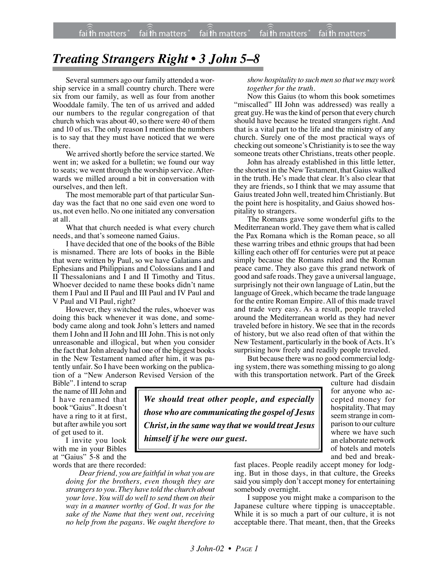## *Treating Strangers Right • 3 John 5–8*

Several summers ago our family attended a worship service in a small country church. There were six from our family, as well as four from another Wooddale family. The ten of us arrived and added our numbers to the regular congregation of that church which was about 40, so there were 40 of them and 10 of us. The only reason I mention the numbers is to say that they must have noticed that we were there.

We arrived shortly before the service started. We went in; we asked for a bulletin; we found our way to seats; we went through the worship service. Afterwards we milled around a bit in conversation with ourselves, and then left.

The most memorable part of that particular Sunday was the fact that no one said even one word to us, not even hello. No one initiated any conversation at all.

What that church needed is what every church needs, and that's someone named Gaius.

I have decided that one of the books of the Bible is misnamed. There are lots of books in the Bible that were written by Paul, so we have Galatians and Ephesians and Philippians and Colossians and I and II Thessalonians and I and II Timothy and Titus. Whoever decided to name these books didn't name them I Paul and II Paul and III Paul and IV Paul and V Paul and VI Paul, right?

However, they switched the rules, whoever was doing this back whenever it was done, and somebody came along and took John's letters and named them I John and II John and III John. This is not only unreasonable and illogical, but when you consider the fact that John already had one of the biggest books in the New Testament named after him, it was patently unfair. So I have been working on the publication of a "New Anderson Revised Version of the

Bible". I intend to scrap the name of III John and I have renamed that book "Gaius". It doesn't have a ring to it at first, but after awhile you sort of get used to it.

I invite you look with me in your Bibles at "Gaius" 5-8 and the words that are there recorded:

> *Dear friend, you are faithful in what you are doing for the brothers, even though they are strangers to you. They have told the church about your love. You will do well to send them on their way in a manner worthy of God. It was for the sake of the Name that they went out, receiving no help from the pagans. We ought therefore to*

*showhospitality to such men so thatwe may work together for the truth.*

Now this Gaius (to whom this book sometimes "miscalled" III John was addressed) was really a great guy. He was the kind of person that every church should have because he treated strangers right. And that is a vital part to the life and the ministry of any church. Surely one of the most practical ways of checking out someone's Christianity is to see the way someone treats other Christians, treats other people.

John has already established in this little letter, the shortest in the New Testament, that Gaius walked in the truth. He's made that clear. It's also clear that they are friends, so I think that we may assume that Gaius treated John well, treated him Christianly. But the point here is hospitality, and Gaius showed hospitality to strangers.

The Romans gave some wonderful gifts to the Mediterranean world. They gave them what is called the Pax Romana which is the Roman peace, so all these warring tribes and ethnic groups that had been killing each other off for centuries were put at peace simply because the Romans ruled and the Roman peace came. They also gave this grand network of good and safe roads. They gave a universal language, surprisingly not their own language of Latin, but the language of Greek, which became the trade language for the entire Roman Empire. All of this made travel and trade very easy. As a result, people traveled around the Mediterranean world as they had never traveled before in history. We see that in the records of history, but we also read often of that within the New Testament, particularly in the book of Acts. It's surprising how freely and readily people traveled.

But because there was no good commercial lodging system, there was something missing to go along with this transportation network. Part of the Greek

> culture had disdain for anyone who accepted money for hospitality. That may seem strange in comparison to our culture where we have such an elaborate network of hotels and motels and bed and break-

*We should treat other people, and especially those who are communicating the gospel of Jesus Christ, in the same way that we would treat Jesus himself if he were our guest.*

> fast places. People readily accept money for lodging. But in those days, in that culture, the Greeks said you simply don't accept money for entertaining somebody overnight.

> I suppose you might make a comparison to the Japanese culture where tipping is unacceptable. While it is so much a part of our culture, it is not acceptable there. That meant, then, that the Greeks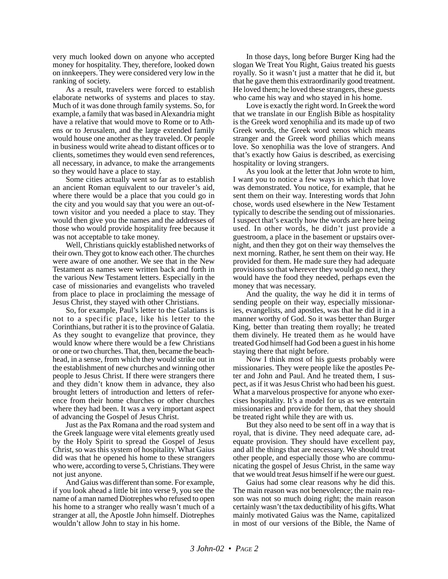very much looked down on anyone who accepted money for hospitality. They, therefore, looked down on innkeepers. They were considered very low in the ranking of society.

As a result, travelers were forced to establish elaborate networks of systems and places to stay. Much of it was done through family systems. So, for example, a family that was based in Alexandria might have a relative that would move to Rome or to Athens or to Jerusalem, and the large extended family would house one another as they traveled. Or people in business would write ahead to distant offices or to clients, sometimes they would even send references, all necessary, in advance, to make the arrangements so they would have a place to stay.

Some cities actually went so far as to establish an ancient Roman equivalent to our traveler's aid, where there would be a place that you could go in the city and you would say that you were an out-oftown visitor and you needed a place to stay. They would then give you the names and the addresses of those who would provide hospitality free because it was not acceptable to take money.

Well, Christians quickly established networks of their own. They got to know each other. The churches were aware of one another. We see that in the New Testament as names were written back and forth in the various New Testament letters. Especially in the case of missionaries and evangelists who traveled from place to place in proclaiming the message of Jesus Christ, they stayed with other Christians.

So, for example, Paul's letter to the Galatians is not to a specific place, like his letter to the Corinthians, but rather it is to the province of Galatia. As they sought to evangelize that province, they would know where there would be a few Christians or one or two churches. That, then, became the beachhead, in a sense, from which they would strike out in the establishment of new churches and winning other people to Jesus Christ. If there were strangers there and they didn't know them in advance, they also brought letters of introduction and letters of reference from their home churches or other churches where they had been. It was a very important aspect of advancing the Gospel of Jesus Christ.

Just as the Pax Romana and the road system and the Greek language were vital elements greatly used by the Holy Spirit to spread the Gospel of Jesus Christ, so was this system of hospitality. What Gaius did was that he opened his home to these strangers who were, according to verse 5, Christians. They were not just anyone.

And Gaius was different than some. For example, if you look ahead a little bit into verse 9, you see the name of a man named Diotrephes who refused to open his home to a stranger who really wasn't much of a stranger at all, the Apostle John himself. Diotrephes wouldn't allow John to stay in his home.

In those days, long before Burger King had the slogan We Treat You Right, Gaius treated his guests royally. So it wasn't just a matter that he did it, but that he gave them this extraordinarily good treatment. He loved them; he loved these strangers, these guests who came his way and who stayed in his home.

Love is exactly the right word. In Greek the word that we translate in our English Bible as hospitality is the Greek word xenophilia and its made up of two Greek words, the Greek word xenos which means stranger and the Greek word philias which means love. So xenophilia was the love of strangers. And that's exactly how Gaius is described, as exercising hospitality or loving strangers.

As you look at the letter that John wrote to him, I want you to notice a few ways in which that love was demonstrated. You notice, for example, that he sent them on their way. Interesting words that John chose, words used elsewhere in the New Testament typically to describe the sending out of missionaries. I suspect that's exactly how the words are here being used. In other words, he didn't just provide a guestroom, a place in the basement or upstairs overnight, and then they got on their way themselves the next morning. Rather, he sent them on their way. He provided for them. He made sure they had adequate provisions so that wherever they would go next, they would have the food they needed, perhaps even the money that was necessary.

And the quality, the way he did it in terms of sending people on their way, especially missionaries, evangelists, and apostles, was that he did it in a manner worthy of God. So it was better than Burger King, better than treating them royally; he treated them divinely. He treated them as he would have treated God himself had God been a guest in his home staying there that night before.

Now I think most of his guests probably were missionaries. They were people like the apostles Peter and John and Paul. And he treated them, I suspect, as if it was Jesus Christ who had been his guest. What a marvelous prospective for anyone who exercises hospitality. It's a model for us as we entertain missionaries and provide for them, that they should be treated right while they are with us.

But they also need to be sent off in a way that is royal, that is divine. They need adequate care, adequate provision. They should have excellent pay, and all the things that are necessary. We should treat other people, and especially those who are communicating the gospel of Jesus Christ, in the same way that we would treat Jesus himself if he were our guest.

Gaius had some clear reasons why he did this. The main reason was not benevolence; the main reason was not so much doing right; the main reason certainly wasn't the tax deductibility of his gifts. What mainly motivated Gaius was the Name, capitalized in most of our versions of the Bible, the Name of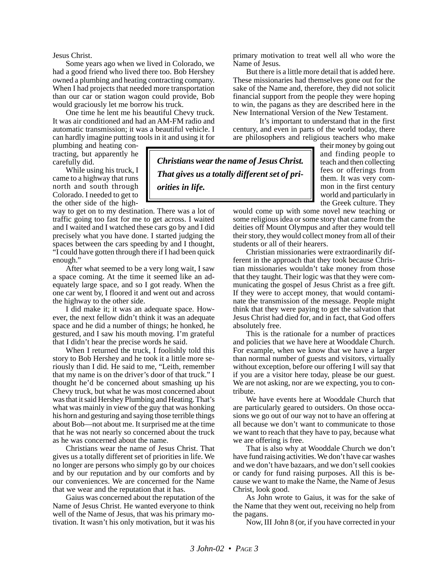Jesus Christ.

Some years ago when we lived in Colorado, we had a good friend who lived there too. Bob Hershey owned a plumbing and heating contracting company. When I had projects that needed more transportation than our car or station wagon could provide, Bob would graciously let me borrow his truck.

One time he lent me his beautiful Chevy truck. It was air conditioned and had an AM-FM radio and automatic transmission; it was a beautiful vehicle. I can hardly imagine putting tools in it and using it for

plumbing and heating contracting, but apparently he carefully did.

While using his truck, I came to a highway that runs north and south through Colorado. I needed to get to the other side of the high-

way to get on to my destination. There was a lot of traffic going too fast for me to get across. I waited and I waited and I watched these cars go by and I did precisely what you have done. I started judging the spaces between the cars speeding by and I thought, "I could have gotten through there if I had been quick enough."

After what seemed to be a very long wait, I saw a space coming. At the time it seemed like an adequately large space, and so I got ready. When the one car went by, I floored it and went out and across the highway to the other side.

I did make it; it was an adequate space. However, the next fellow didn't think it was an adequate space and he did a number of things; he honked, he gestured, and I saw his mouth moving. I'm grateful that I didn't hear the precise words he said.

When I returned the truck, I foolishly told this story to Bob Hershey and he took it a little more seriously than I did. He said to me, "Leith, remember that my name is on the driver's door of that truck." I thought he'd be concerned about smashing up his Chevy truck, but what he was most concerned about was that it said Hershey Plumbing and Heating. That's what was mainly in view of the guy that was honking his horn and gesturing and saying those terrible things about Bob—not about me. It surprised me at the time that he was not nearly so concerned about the truck as he was concerned about the name.

Christians wear the name of Jesus Christ. That gives us a totally different set of priorities in life. We no longer are persons who simply go by our choices and by our reputation and by our comforts and by our conveniences. We are concerned for the Name that we wear and the reputation that it has.

Gaius was concerned about the reputation of the Name of Jesus Christ. He wanted everyone to think well of the Name of Jesus, that was his primary motivation. It wasn't his only motivation, but it was his primary motivation to treat well all who wore the Name of Jesus.

But there is a little more detail that is added here. These missionaries had themselves gone out for the sake of the Name and, therefore, they did not solicit financial support from the people they were hoping to win, the pagans as they are described here in the New International Version of the New Testament.

It's important to understand that in the first century, and even in parts of the world today, there are philosophers and religious teachers who make

their money by going out and finding people to teach and then collecting fees or offerings from them. It was very common in the first century world and particularly in the Greek culture. They

would come up with some novel new teaching or some religious idea or some story that came from the deities off Mount Olympus and after they would tell their story, they would collect money from all of their students or all of their hearers.

Christian missionaries were extraordinarily different in the approach that they took because Christian missionaries wouldn't take money from those that they taught. Their logic was that they were communicating the gospel of Jesus Christ as a free gift. If they were to accept money, that would contaminate the transmission of the message. People might think that they were paying to get the salvation that Jesus Christ had died for, and in fact, that God offers absolutely free.

This is the rationale for a number of practices and policies that we have here at Wooddale Church. For example, when we know that we have a larger than normal number of guests and visitors, virtually without exception, before our offering I will say that if you are a visitor here today, please be our guest. We are not asking, nor are we expecting, you to contribute.

We have events here at Wooddale Church that are particularly geared to outsiders. On those occasions we go out of our way not to have an offering at all because we don't want to communicate to those we want to reach that they have to pay, because what we are offering is free.

That is also why at Wooddale Church we don't have fund raising activities. We don't have car washes and we don't have bazaars, and we don't sell cookies or candy for fund raising purposes. All this is because we want to make the Name, the Name of Jesus Christ, look good.

As John wrote to Gaius, it was for the sake of the Name that they went out, receiving no help from the pagans.

Now, III John 8 (or, if you have corrected in your

*Christians wear the name of Jesus Christ. That gives us a totally different set of pri-*

*orities in life.*